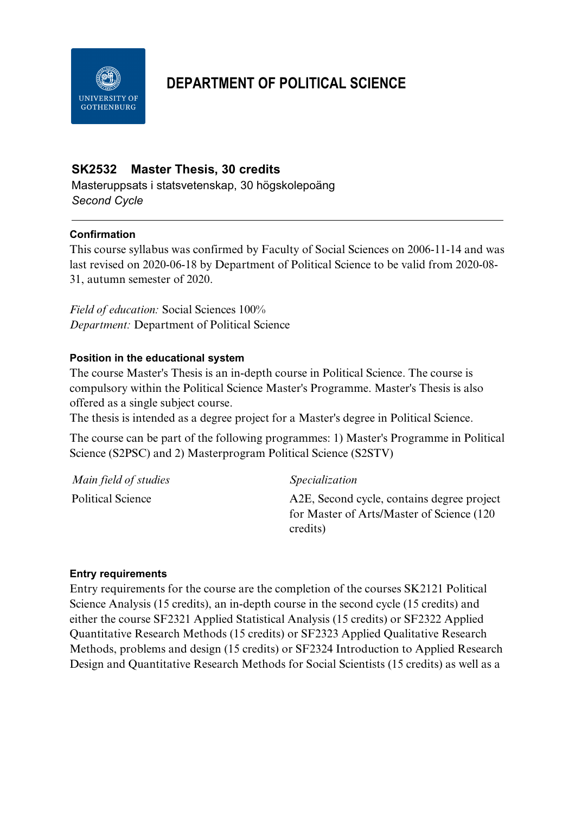

# **DEPARTMENT OF POLITICAL SCIENCE**

## **SK2532 Master Thesis, 30 credits**

Masteruppsats i statsvetenskap, 30 högskolepoäng *Second Cycle*

#### **Confirmation**

This course syllabus was confirmed by Faculty of Social Sciences on 2006-11-14 and was last revised on 2020-06-18 by Department of Political Science to be valid from 2020-08- 31, autumn semester of 2020.

*Field of education:* Social Sciences 100% *Department:* Department of Political Science

#### **Position in the educational system**

The course Master's Thesis is an in-depth course in Political Science. The course is compulsory within the Political Science Master's Programme. Master's Thesis is also offered as a single subject course.

The thesis is intended as a degree project for a Master's degree in Political Science.

The course can be part of the following programmes: 1) Master's Programme in Political Science (S2PSC) and 2) Masterprogram Political Science (S2STV)

| Main field of studies    | <i>Specialization</i>                      |
|--------------------------|--------------------------------------------|
| <b>Political Science</b> | A2E, Second cycle, contains degree project |
|                          | for Master of Arts/Master of Science (120) |
|                          | credits)                                   |

#### **Entry requirements**

Entry requirements for the course are the completion of the courses SK2121 Political Science Analysis (15 credits), an in-depth course in the second cycle (15 credits) and either the course SF2321 Applied Statistical Analysis (15 credits) or SF2322 Applied Quantitative Research Methods (15 credits) or SF2323 Applied Qualitative Research Methods, problems and design (15 credits) or SF2324 Introduction to Applied Research Design and Quantitative Research Methods for Social Scientists (15 credits) as well as a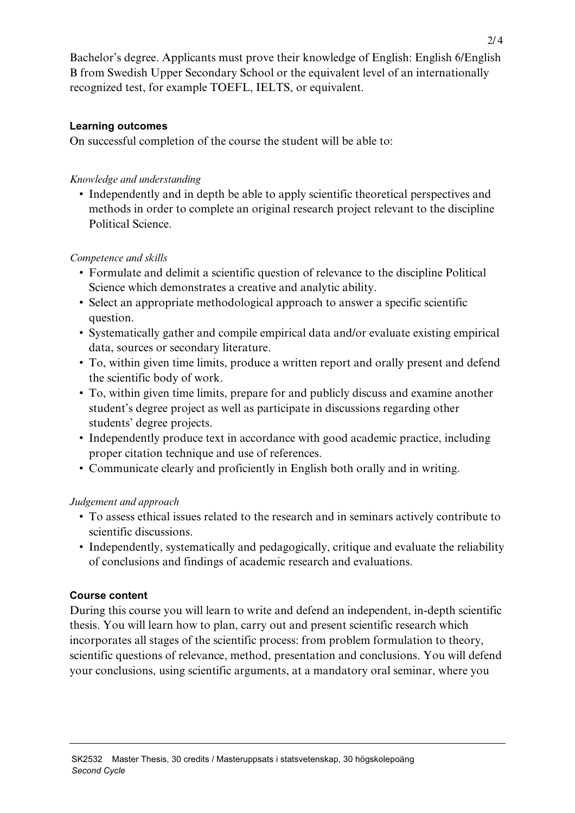Bachelor's degree. Applicants must prove their knowledge of English: English 6/English B from Swedish Upper Secondary School or the equivalent level of an internationally recognized test, for example TOEFL, IELTS, or equivalent.

#### **Learning outcomes**

On successful completion of the course the student will be able to:

## *Knowledge and understanding*

• Independently and in depth be able to apply scientific theoretical perspectives and methods in order to complete an original research project relevant to the discipline Political Science.

## *Competence and skills*

- Formulate and delimit a scientific question of relevance to the discipline Political Science which demonstrates a creative and analytic ability.
- Select an appropriate methodological approach to answer a specific scientific question.
- Systematically gather and compile empirical data and/or evaluate existing empirical data, sources or secondary literature.
- To, within given time limits, produce a written report and orally present and defend the scientific body of work.
- To, within given time limits, prepare for and publicly discuss and examine another student's degree project as well as participate in discussions regarding other students' degree projects.
- Independently produce text in accordance with good academic practice, including proper citation technique and use of references.
- Communicate clearly and proficiently in English both orally and in writing.

## *Judgement and approach*

- To assess ethical issues related to the research and in seminars actively contribute to scientific discussions.
- Independently, systematically and pedagogically, critique and evaluate the reliability of conclusions and findings of academic research and evaluations.

## **Course content**

During this course you will learn to write and defend an independent, in-depth scientific thesis. You will learn how to plan, carry out and present scientific research which incorporates all stages of the scientific process: from problem formulation to theory, scientific questions of relevance, method, presentation and conclusions. You will defend your conclusions, using scientific arguments, at a mandatory oral seminar, where you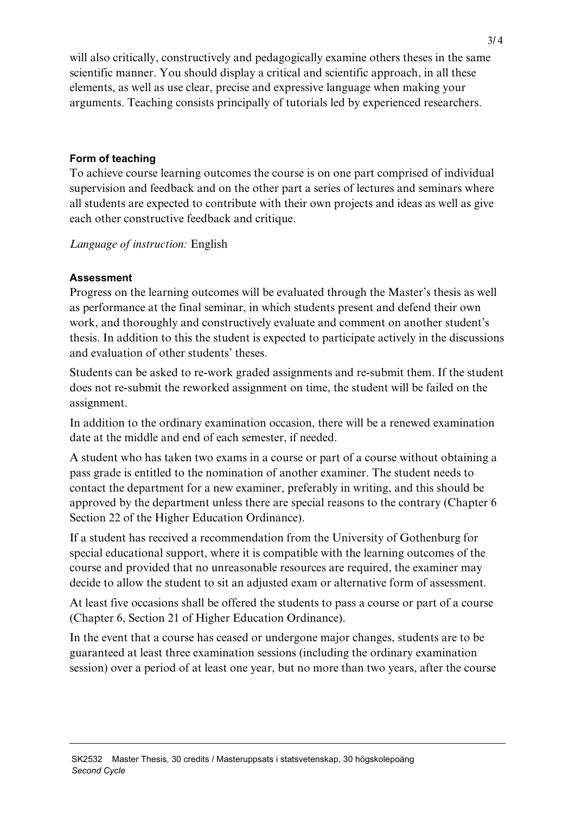will also critically, constructively and pedagogically examine others theses in the same scientific manner. You should display a critical and scientific approach, in all these elements, as well as use clear, precise and expressive language when making your arguments. Teaching consists principally of tutorials led by experienced researchers.

#### **Form of teaching**

To achieve course learning outcomes the course is on one part comprised of individual supervision and feedback and on the other part a series of lectures and seminars where all students are expected to contribute with their own projects and ideas as well as give each other constructive feedback and critique.

*Language of instruction:* English

## **Assessment**

Progress on the learning outcomes will be evaluated through the Master's thesis as well as performance at the final seminar, in which students present and defend their own work, and thoroughly and constructively evaluate and comment on another student's thesis. In addition to this the student is expected to participate actively in the discussions and evaluation of other students' theses.

Students can be asked to re-work graded assignments and re-submit them. If the student does not re-submit the reworked assignment on time, the student will be failed on the assignment.

In addition to the ordinary examination occasion, there will be a renewed examination date at the middle and end of each semester, if needed.

A student who has taken two exams in a course or part of a course without obtaining a pass grade is entitled to the nomination of another examiner. The student needs to contact the department for a new examiner, preferably in writing, and this should be approved by the department unless there are special reasons to the contrary (Chapter 6 Section 22 of the Higher Education Ordinance).

If a student has received a recommendation from the University of Gothenburg for special educational support, where it is compatible with the learning outcomes of the course and provided that no unreasonable resources are required, the examiner may decide to allow the student to sit an adjusted exam or alternative form of assessment.

At least five occasions shall be offered the students to pass a course or part of a course (Chapter 6, Section 21 of Higher Education Ordinance).

In the event that a course has ceased or undergone major changes, students are to be guaranteed at least three examination sessions (including the ordinary examination session) over a period of at least one year, but no more than two years, after the course